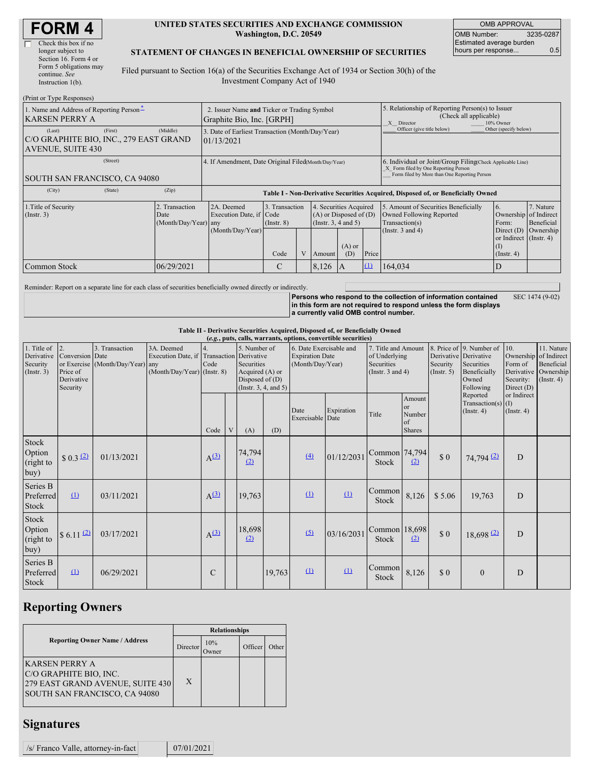| <b>FORM4</b> |  |
|--------------|--|
|--------------|--|

| Check this box if no   |
|------------------------|
| longer subject to      |
| Section 16. Form 4 or  |
| Form 5 obligations may |
| continue. See          |
| Instruction $l(b)$ .   |

#### **UNITED STATES SECURITIES AND EXCHANGE COMMISSION Washington, D.C. 20549**

OMB APPROVAL OMB Number: 3235-0287 Estimated average burden hours per response... 0.5

### **STATEMENT OF CHANGES IN BENEFICIAL OWNERSHIP OF SECURITIES**

Filed pursuant to Section 16(a) of the Securities Exchange Act of 1934 or Section 30(h) of the Investment Company Act of 1940

| (Print or Type Responses)                                                               |            |                                                                                  |                                   |  |                                                                                  |                 |                            |                                                                                                                                                    |                                                                            |                         |
|-----------------------------------------------------------------------------------------|------------|----------------------------------------------------------------------------------|-----------------------------------|--|----------------------------------------------------------------------------------|-----------------|----------------------------|----------------------------------------------------------------------------------------------------------------------------------------------------|----------------------------------------------------------------------------|-------------------------|
| 1. Name and Address of Reporting Person-<br>KARSEN PERRY A                              |            | 2. Issuer Name and Ticker or Trading Symbol<br>Graphite Bio, Inc. [GRPH]         |                                   |  |                                                                                  |                 |                            | 5. Relationship of Reporting Person(s) to Issuer<br>(Check all applicable)<br>X Director<br>10% Owner                                              |                                                                            |                         |
| (First)<br>(Last)<br>C/O GRAPHITE BIO, INC., 279 EAST GRAND<br><b>AVENUE, SUITE 430</b> | (Middle)   | 3. Date of Earliest Transaction (Month/Day/Year)<br>01/13/2021                   |                                   |  |                                                                                  |                 | Officer (give title below) | Other (specify below)                                                                                                                              |                                                                            |                         |
| (Street)<br>SOUTH SAN FRANCISCO, CA 94080                                               |            | 4. If Amendment, Date Original Filed(Month/Day/Year)                             |                                   |  |                                                                                  |                 |                            | 6. Individual or Joint/Group Filing Check Applicable Line)<br>X Form filed by One Reporting Person<br>Form filed by More than One Reporting Person |                                                                            |                         |
| (City)<br>(State)                                                                       | (Zip)      | Table I - Non-Derivative Securities Acquired, Disposed of, or Beneficially Owned |                                   |  |                                                                                  |                 |                            |                                                                                                                                                    |                                                                            |                         |
| 1. Title of Security<br>2. Transaction<br>(Insert. 3)<br>Date<br>(Month/Day/Year) any   |            | 2A. Deemed<br>Execution Date, if Code                                            | 3. Transaction<br>$($ Instr. $8)$ |  | 4. Securities Acquired<br>$(A)$ or Disposed of $(D)$<br>(Instr. $3, 4$ and $5$ ) |                 |                            | 5. Amount of Securities Beneficially<br>Owned Following Reported<br>Transaction(s)                                                                 | 6.<br>Ownership of Indirect<br>Form:                                       | 7. Nature<br>Beneficial |
|                                                                                         |            | (Month/Day/Year)                                                                 | Code                              |  | Amount                                                                           | $(A)$ or<br>(D) | Price                      | (Instr. $3$ and $4$ )                                                                                                                              | Direct $(D)$<br>or Indirect (Instr. 4)<br>$($ $\Gamma$<br>$($ Instr. 4 $)$ | Ownership               |
| Common Stock                                                                            | 06/29/2021 |                                                                                  | C                                 |  | 8,126                                                                            | A               | $\Omega$                   | 164,034                                                                                                                                            | D                                                                          |                         |

Reminder: Report on a separate line for each class of securities beneficially owned directly or indirectly.

**Persons who respond to the collection of information contained in this form are not required to respond unless the form displays a currently valid OMB control number.** SEC 1474 (9-02)

#### **Table II - Derivative Securities Acquired, Disposed of, or Beneficially Owned**

| (e.g., puts, calls, warrants, options, convertible securities) |                                                             |                                                    |                                                                 |                           |   |                                                                                                                |        |                                                                       |                          |                                                                             |                                                          |                                                  |                                                                              |                                                                                          |                                                           |
|----------------------------------------------------------------|-------------------------------------------------------------|----------------------------------------------------|-----------------------------------------------------------------|---------------------------|---|----------------------------------------------------------------------------------------------------------------|--------|-----------------------------------------------------------------------|--------------------------|-----------------------------------------------------------------------------|----------------------------------------------------------|--------------------------------------------------|------------------------------------------------------------------------------|------------------------------------------------------------------------------------------|-----------------------------------------------------------|
| 1. Title of<br>Derivative<br>Security<br>(Insert. 3)           | 2.<br>Conversion Date<br>Price of<br>Derivative<br>Security | 3. Transaction<br>or Exercise (Month/Day/Year) any | 3A. Deemed<br>Execution Date, if<br>(Month/Day/Year) (Instr. 8) | 4.<br>Transaction<br>Code |   | 5. Number of<br>Derivative<br>Securities<br>Acquired (A) or<br>Disposed of $(D)$<br>(Instr. $3, 4$ , and $5$ ) |        | 6. Date Exercisable and<br><b>Expiration Date</b><br>(Month/Day/Year) |                          | 7. Title and Amount<br>of Underlying<br>Securities<br>(Instr. $3$ and $4$ ) |                                                          | Derivative Derivative<br>Security<br>(Insert. 5) | 8. Price of 9. Number of<br>Securities<br>Beneficially<br>Owned<br>Following | $\vert$ 10.<br>Ownership of Indirect<br>Form of<br>Derivative<br>Security:<br>Direct (D) | 11. Nature<br>Beneficial<br>Ownership<br>$($ Instr. 4 $)$ |
|                                                                |                                                             |                                                    |                                                                 | Code                      | V | (A)                                                                                                            | (D)    | Date<br>Exercisable Date                                              | Expiration               | Title                                                                       | Amount<br><sub>or</sub><br>Number<br>of<br><b>Shares</b> |                                                  | Reported<br>Transaction(s) $(I)$<br>(Insert. 4)                              | or Indirect<br>$($ Instr. 4 $)$                                                          |                                                           |
| Stock<br>Option<br>(right to<br>buy)                           | \$0.3(2)                                                    | 01/13/2021                                         |                                                                 | A <sup>(3)</sup>          |   | 74,794<br>(2)                                                                                                  |        | $\Delta$                                                              | 01/12/2031               | Common 74,794<br><b>Stock</b>                                               | (2)                                                      | \$0                                              | $74,794$ <sup>(2)</sup>                                                      | D                                                                                        |                                                           |
| Series B<br>Preferred<br>Stock                                 | (1)                                                         | 03/11/2021                                         |                                                                 | $A^{(3)}$                 |   | 19,763                                                                                                         |        | (1)                                                                   | $\Omega$                 | Common<br>Stock                                                             | 8,126                                                    | \$5.06                                           | 19,763                                                                       | D                                                                                        |                                                           |
| Stock<br>Option<br>(right to<br>buy)                           | $$6.11$ $^{2}$                                              | 03/17/2021                                         |                                                                 | $A^{(3)}$                 |   | 18,698<br>(2)                                                                                                  |        | (5)                                                                   | 03/16/2031               | Common 18,698<br><b>Stock</b>                                               | (2)                                                      | \$0                                              | $18,698$ <sup>(2)</sup>                                                      | D                                                                                        |                                                           |
| Series B<br>Preferred<br>Stock                                 | $\Omega$                                                    | 06/29/2021                                         |                                                                 | $\mathcal{C}$             |   |                                                                                                                | 19,763 | $\mathbf{\underline{u}}$                                              | $\mathbf{\underline{u}}$ | Common<br>Stock                                                             | 8,126                                                    | \$0                                              | $\mathbf{0}$                                                                 | D                                                                                        |                                                           |

# **Reporting Owners**

|                                                                                                                             | <b>Relationships</b> |                     |         |       |  |  |  |  |
|-----------------------------------------------------------------------------------------------------------------------------|----------------------|---------------------|---------|-------|--|--|--|--|
| <b>Reporting Owner Name / Address</b>                                                                                       | Director             | 10%<br><b>Twner</b> | Officer | Other |  |  |  |  |
| <b>KARSEN PERRY A</b><br>C/O GRAPHITE BIO, INC.<br>279 EAST GRAND AVENUE, SUITE 430<br><b>SOUTH SAN FRANCISCO, CA 94080</b> | X                    |                     |         |       |  |  |  |  |

## **Signatures**

|  | /s/ Franco Valle, attorney-in-fact |  | 07/01/2021 |
|--|------------------------------------|--|------------|
|--|------------------------------------|--|------------|